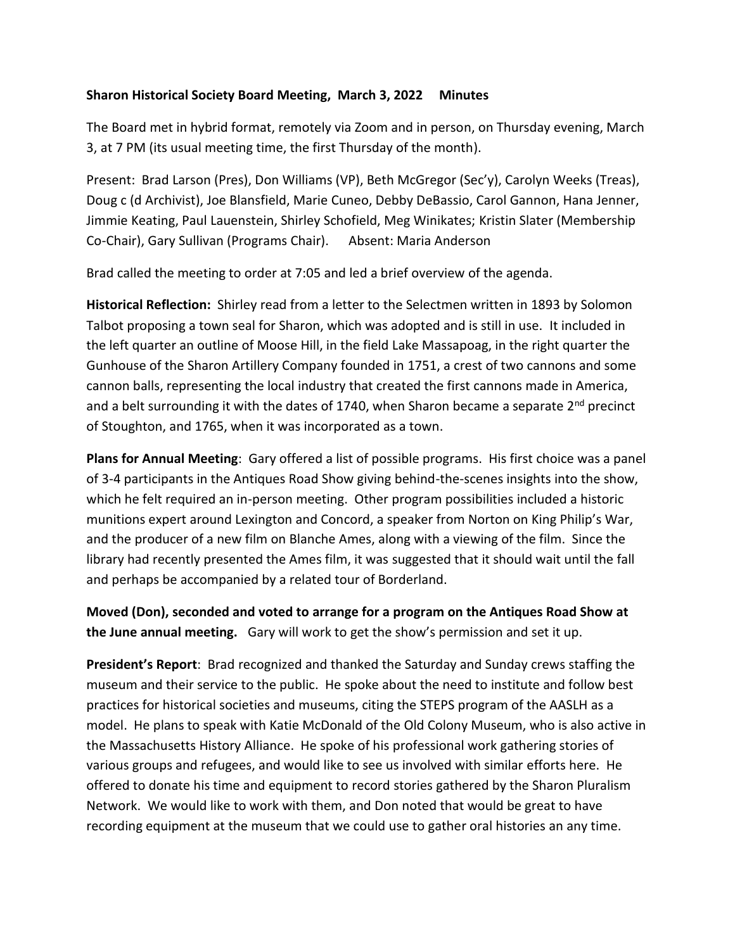## **Sharon Historical Society Board Meeting, March 3, 2022 Minutes**

The Board met in hybrid format, remotely via Zoom and in person, on Thursday evening, March 3, at 7 PM (its usual meeting time, the first Thursday of the month).

Present: Brad Larson (Pres), Don Williams (VP), Beth McGregor (Sec'y), Carolyn Weeks (Treas), Doug c (d Archivist), Joe Blansfield, Marie Cuneo, Debby DeBassio, Carol Gannon, Hana Jenner, Jimmie Keating, Paul Lauenstein, Shirley Schofield, Meg Winikates; Kristin Slater (Membership Co-Chair), Gary Sullivan (Programs Chair). Absent: Maria Anderson

Brad called the meeting to order at 7:05 and led a brief overview of the agenda.

**Historical Reflection:** Shirley read from a letter to the Selectmen written in 1893 by Solomon Talbot proposing a town seal for Sharon, which was adopted and is still in use. It included in the left quarter an outline of Moose Hill, in the field Lake Massapoag, in the right quarter the Gunhouse of the Sharon Artillery Company founded in 1751, a crest of two cannons and some cannon balls, representing the local industry that created the first cannons made in America, and a belt surrounding it with the dates of 1740, when Sharon became a separate 2<sup>nd</sup> precinct of Stoughton, and 1765, when it was incorporated as a town.

**Plans for Annual Meeting**: Gary offered a list of possible programs. His first choice was a panel of 3-4 participants in the Antiques Road Show giving behind-the-scenes insights into the show, which he felt required an in-person meeting. Other program possibilities included a historic munitions expert around Lexington and Concord, a speaker from Norton on King Philip's War, and the producer of a new film on Blanche Ames, along with a viewing of the film. Since the library had recently presented the Ames film, it was suggested that it should wait until the fall and perhaps be accompanied by a related tour of Borderland.

**Moved (Don), seconded and voted to arrange for a program on the Antiques Road Show at the June annual meeting.** Gary will work to get the show's permission and set it up.

**President's Report**: Brad recognized and thanked the Saturday and Sunday crews staffing the museum and their service to the public. He spoke about the need to institute and follow best practices for historical societies and museums, citing the STEPS program of the AASLH as a model. He plans to speak with Katie McDonald of the Old Colony Museum, who is also active in the Massachusetts History Alliance. He spoke of his professional work gathering stories of various groups and refugees, and would like to see us involved with similar efforts here. He offered to donate his time and equipment to record stories gathered by the Sharon Pluralism Network. We would like to work with them, and Don noted that would be great to have recording equipment at the museum that we could use to gather oral histories an any time.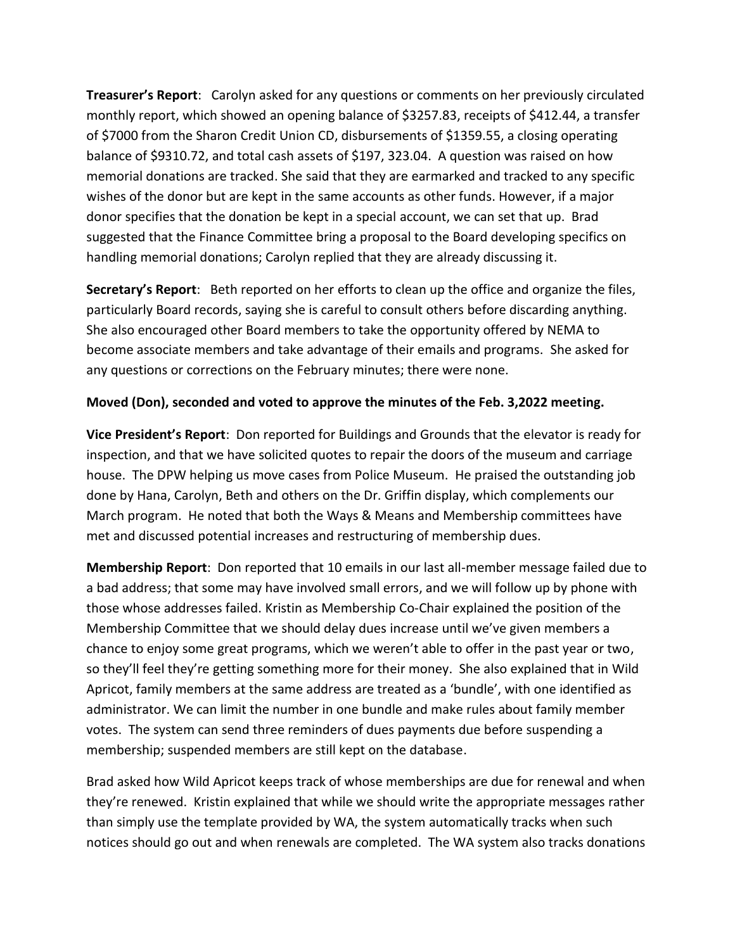**Treasurer's Report**: Carolyn asked for any questions or comments on her previously circulated monthly report, which showed an opening balance of \$3257.83, receipts of \$412.44, a transfer of \$7000 from the Sharon Credit Union CD, disbursements of \$1359.55, a closing operating balance of \$9310.72, and total cash assets of \$197, 323.04. A question was raised on how memorial donations are tracked. She said that they are earmarked and tracked to any specific wishes of the donor but are kept in the same accounts as other funds. However, if a major donor specifies that the donation be kept in a special account, we can set that up. Brad suggested that the Finance Committee bring a proposal to the Board developing specifics on handling memorial donations; Carolyn replied that they are already discussing it.

**Secretary's Report**: Beth reported on her efforts to clean up the office and organize the files, particularly Board records, saying she is careful to consult others before discarding anything. She also encouraged other Board members to take the opportunity offered by NEMA to become associate members and take advantage of their emails and programs. She asked for any questions or corrections on the February minutes; there were none.

## **Moved (Don), seconded and voted to approve the minutes of the Feb. 3,2022 meeting.**

**Vice President's Report**: Don reported for Buildings and Grounds that the elevator is ready for inspection, and that we have solicited quotes to repair the doors of the museum and carriage house. The DPW helping us move cases from Police Museum. He praised the outstanding job done by Hana, Carolyn, Beth and others on the Dr. Griffin display, which complements our March program. He noted that both the Ways & Means and Membership committees have met and discussed potential increases and restructuring of membership dues.

**Membership Report**: Don reported that 10 emails in our last all-member message failed due to a bad address; that some may have involved small errors, and we will follow up by phone with those whose addresses failed. Kristin as Membership Co-Chair explained the position of the Membership Committee that we should delay dues increase until we've given members a chance to enjoy some great programs, which we weren't able to offer in the past year or two, so they'll feel they're getting something more for their money. She also explained that in Wild Apricot, family members at the same address are treated as a 'bundle', with one identified as administrator. We can limit the number in one bundle and make rules about family member votes. The system can send three reminders of dues payments due before suspending a membership; suspended members are still kept on the database.

Brad asked how Wild Apricot keeps track of whose memberships are due for renewal and when they're renewed. Kristin explained that while we should write the appropriate messages rather than simply use the template provided by WA, the system automatically tracks when such notices should go out and when renewals are completed. The WA system also tracks donations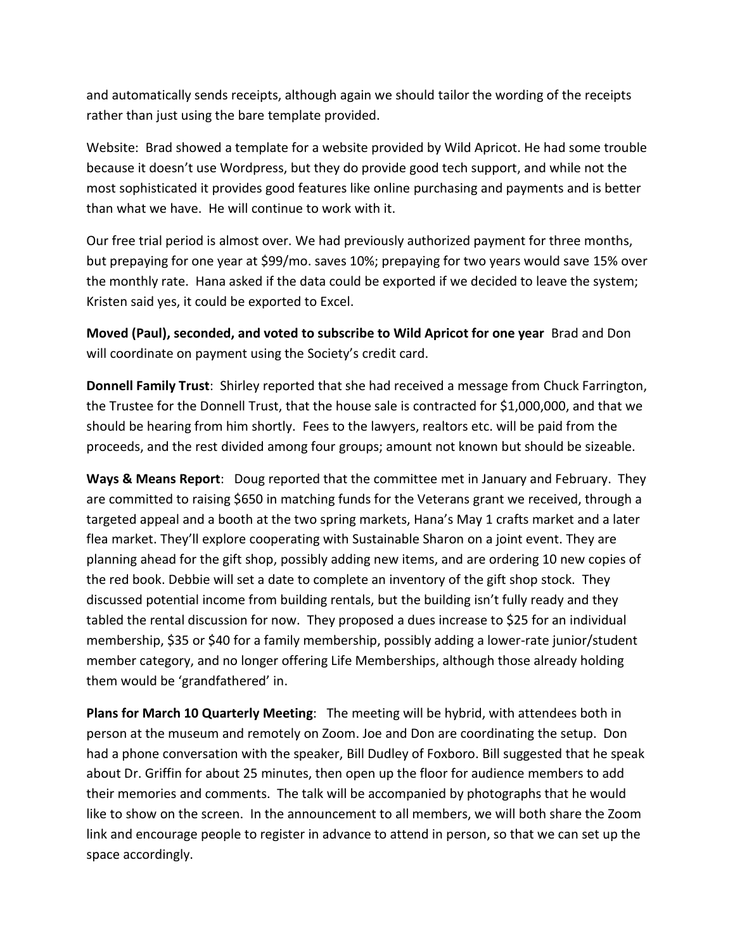and automatically sends receipts, although again we should tailor the wording of the receipts rather than just using the bare template provided.

Website: Brad showed a template for a website provided by Wild Apricot. He had some trouble because it doesn't use Wordpress, but they do provide good tech support, and while not the most sophisticated it provides good features like online purchasing and payments and is better than what we have. He will continue to work with it.

Our free trial period is almost over. We had previously authorized payment for three months, but prepaying for one year at \$99/mo. saves 10%; prepaying for two years would save 15% over the monthly rate. Hana asked if the data could be exported if we decided to leave the system; Kristen said yes, it could be exported to Excel.

**Moved (Paul), seconded, and voted to subscribe to Wild Apricot for one year** Brad and Don will coordinate on payment using the Society's credit card.

**Donnell Family Trust**: Shirley reported that she had received a message from Chuck Farrington, the Trustee for the Donnell Trust, that the house sale is contracted for \$1,000,000, and that we should be hearing from him shortly. Fees to the lawyers, realtors etc. will be paid from the proceeds, and the rest divided among four groups; amount not known but should be sizeable.

**Ways & Means Report**: Doug reported that the committee met in January and February. They are committed to raising \$650 in matching funds for the Veterans grant we received, through a targeted appeal and a booth at the two spring markets, Hana's May 1 crafts market and a later flea market. They'll explore cooperating with Sustainable Sharon on a joint event. They are planning ahead for the gift shop, possibly adding new items, and are ordering 10 new copies of the red book. Debbie will set a date to complete an inventory of the gift shop stock. They discussed potential income from building rentals, but the building isn't fully ready and they tabled the rental discussion for now. They proposed a dues increase to \$25 for an individual membership, \$35 or \$40 for a family membership, possibly adding a lower-rate junior/student member category, and no longer offering Life Memberships, although those already holding them would be 'grandfathered' in.

**Plans for March 10 Quarterly Meeting**: The meeting will be hybrid, with attendees both in person at the museum and remotely on Zoom. Joe and Don are coordinating the setup. Don had a phone conversation with the speaker, Bill Dudley of Foxboro. Bill suggested that he speak about Dr. Griffin for about 25 minutes, then open up the floor for audience members to add their memories and comments. The talk will be accompanied by photographs that he would like to show on the screen. In the announcement to all members, we will both share the Zoom link and encourage people to register in advance to attend in person, so that we can set up the space accordingly.